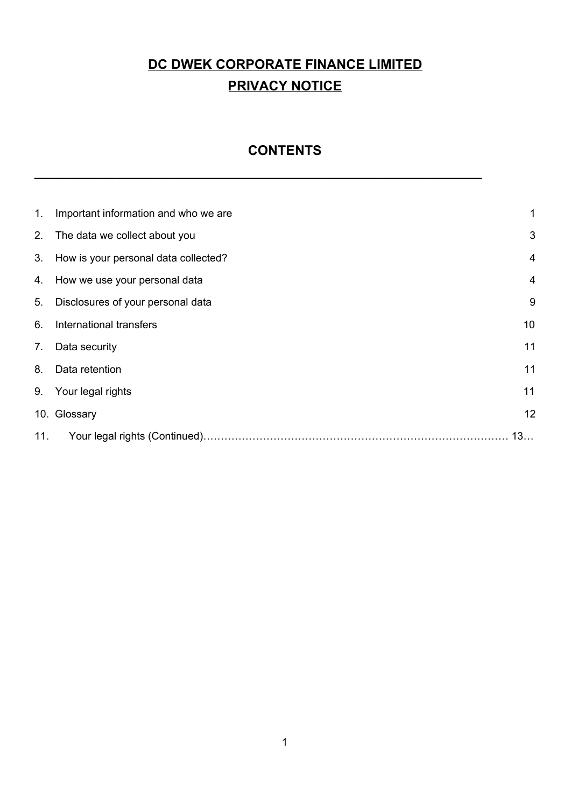# **DC DWEK CORPORATE FINANCE LIMITED PRIVACY NOTICE**

## **CONTENTS**

**\_\_\_\_\_\_\_\_\_\_\_\_\_\_\_\_\_\_\_\_\_\_\_\_\_\_\_\_\_\_\_\_\_\_\_\_\_\_\_\_\_\_\_\_\_\_\_\_\_\_\_\_\_\_\_\_\_\_\_\_**

| 1.  | Important information and who we are    | $\mathbf{1}$   |
|-----|-----------------------------------------|----------------|
|     | 2. The data we collect about you        | 3              |
|     | 3. How is your personal data collected? | $\overline{4}$ |
|     | 4. How we use your personal data        | $\overline{4}$ |
| 5.  | Disclosures of your personal data       | 9              |
| 6.  | International transfers                 | 10             |
| 7.  | Data security                           | 11             |
| 8.  | Data retention                          | 11             |
|     | 9. Your legal rights                    | 11             |
|     | 10. Glossary                            | 12             |
| 11. |                                         | 13             |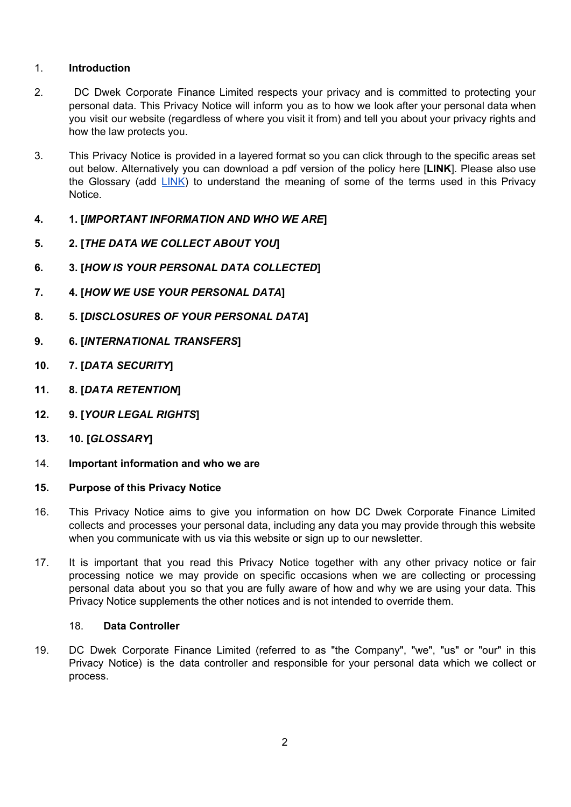## 1. **Introduction**

- 2. DC Dwek Corporate Finance Limited respects your privacy and is committed to protecting your personal data. This Privacy Notice will inform you as to how we look after your personal data when you visit our website (regardless of where you visit it from) and tell you about your privacy rights and how the law protects you.
- 3. This Privacy Notice is provided in a layered format so you can click through to the specific areas set out below. Alternatively you can download a pdf version of the policy here [**LINK**]. Please also use the Glossary (add [LINK](#page-1-1)) to understand the meaning of some of the terms used in this Privacy Notice.
- **4. 1. [***IMPORTANT INFORMATION AND WHO WE ARE***]**
- **5. 2. [***THE DATA WE COLLECT ABOUT YOU***]**
- **6. 3. [***HOW IS YOUR PERSONAL DATA COLLECTED***]**
- **7. 4. [***HOW WE USE YOUR PERSONAL DATA***]**
- **8. 5. [***DISCLOSURES OF YOUR PERSONAL DATA***]**
- **9. 6. [***INTERNATIONAL TRANSFERS***]**
- **10. 7. [***DATA SECURITY***]**
- **11. 8. [***DATA RETENTION***]**
- **12. 9. [***YOUR LEGAL RIGHTS***]**
- <span id="page-1-1"></span>**13. 10. [***GLOSSARY***]**
- <span id="page-1-0"></span>14. **Important information and who we are**

## **15. Purpose of this Privacy Notice**

- 16. This Privacy Notice aims to give you information on how DC Dwek Corporate Finance Limited collects and processes your personal data, including any data you may provide through this website when you communicate with us via this website or sign up to our newsletter.
- 17. It is important that you read this Privacy Notice together with any other privacy notice or fair processing notice we may provide on specific occasions when we are collecting or processing personal data about you so that you are fully aware of how and why we are using your data. This Privacy Notice supplements the other notices and is not intended to override them.

#### 18. **Data Controller**

19. DC Dwek Corporate Finance Limited (referred to as "the Company", "we", "us" or "our" in this Privacy Notice) is the data controller and responsible for your personal data which we collect or process.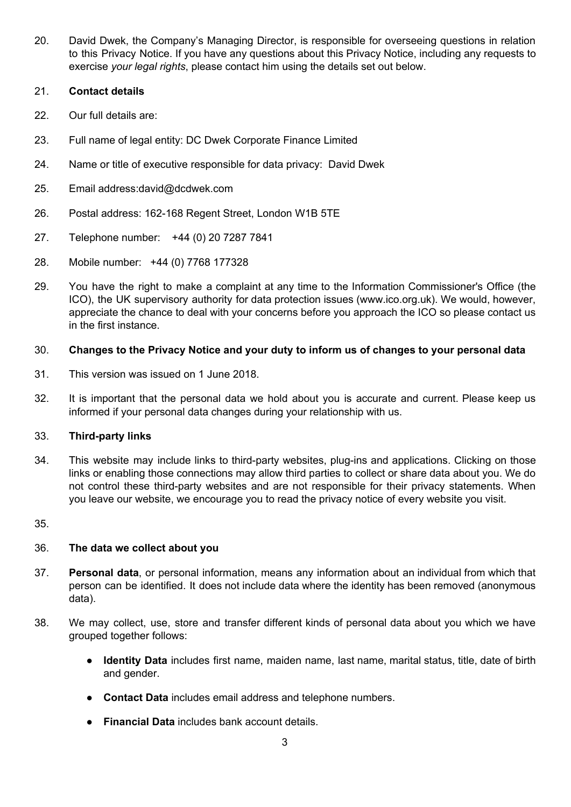- 20. David Dwek, the Company's Managing Director, is responsible for overseeing questions in relation to this Privacy Notice. If you have any questions about this Privacy Notice, including any requests to exercise *your legal rights*, please contact him using the details set out below.
- <span id="page-2-1"></span>21. **Contact details**
- 22. Our full details are:
- 23. Full name of legal entity: DC Dwek Corporate Finance Limited
- 24. Name or title of executive responsible for data privacy: David Dwek
- 25. Email address:david@dcdwek.com
- 26. Postal address: 162-168 Regent Street, London W1B 5TE
- 27. Telephone number: +44 (0) 20 7287 7841
- 28. Mobile number: +44 (0) 7768 177328
- 29. You have the right to make a complaint at any time to the Information Commissioner's Office (the ICO), the UK supervisory authority for data protection issues (www.ico.org.uk). We would, however, appreciate the chance to deal with your concerns before you approach the ICO so please contact us in the first instance.

## 30. **Changes to the Privacy Notice and your duty to inform us of changes to your personal data**

- 31. This version was issued on 1 June 2018.
- 32. It is important that the personal data we hold about you is accurate and current. Please keep us informed if your personal data changes during your relationship with us.

## 33. **Third-party links**

- 34. This website may include links to third-party websites, plug-ins and applications. Clicking on those links or enabling those connections may allow third parties to collect or share data about you. We do not control these third-party websites and are not responsible for their privacy statements. When you leave our website, we encourage you to read the privacy notice of every website you visit.
- 35.

## <span id="page-2-0"></span>36. **The data we collect about you**

- 37. **Personal data**, or personal information, means any information about an individual from which that person can be identified. It does not include data where the identity has been removed (anonymous data).
- 38. We may collect, use, store and transfer different kinds of personal data about you which we have grouped together follows:
	- **Identity Data** includes first name, maiden name, last name, marital status, title, date of birth and gender.
	- **Contact Data** includes email address and telephone numbers.
	- **Financial Data** includes bank account details.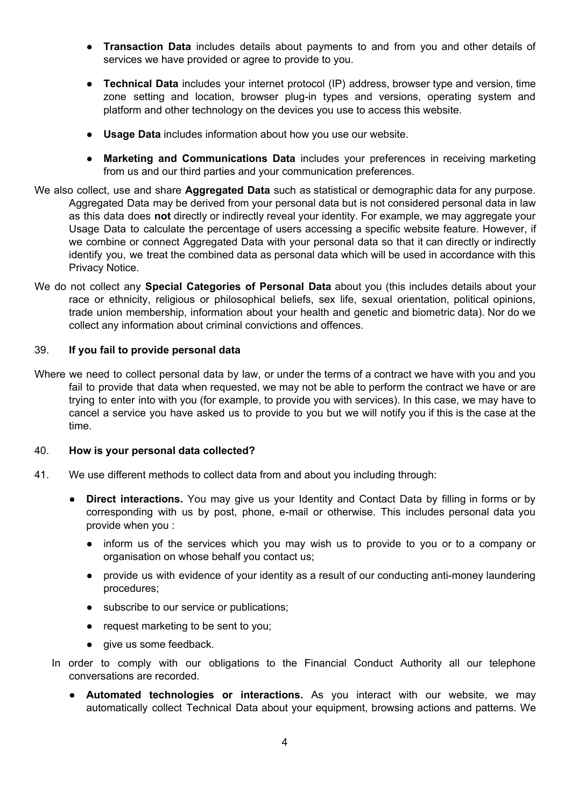- **Transaction Data** includes details about payments to and from you and other details of services we have provided or agree to provide to you.
- **Technical Data** includes your internet protocol (IP) address, browser type and version, time zone setting and location, browser plug-in types and versions, operating system and platform and other technology on the devices you use to access this website.
- **Usage Data** includes information about how you use our website.
- **Marketing and Communications Data** includes your preferences in receiving marketing from us and our third parties and your communication preferences.
- We also collect, use and share **Aggregated Data** such as statistical or demographic data for any purpose. Aggregated Data may be derived from your personal data but is not considered personal data in law as this data does **not** directly or indirectly reveal your identity. For example, we may aggregate your Usage Data to calculate the percentage of users accessing a specific website feature. However, if we combine or connect Aggregated Data with your personal data so that it can directly or indirectly identify you, we treat the combined data as personal data which will be used in accordance with this Privacy Notice.
- We do not collect any **Special Categories of Personal Data** about you (this includes details about your race or ethnicity, religious or philosophical beliefs, sex life, sexual orientation, political opinions, trade union membership, information about your health and genetic and biometric data). Nor do we collect any information about criminal convictions and offences.

## 39. **If you fail to provide personal data**

Where we need to collect personal data by law, or under the terms of a contract we have with you and you fail to provide that data when requested, we may not be able to perform the contract we have or are trying to enter into with you (for example, to provide you with services). In this case, we may have to cancel a service you have asked us to provide to you but we will notify you if this is the case at the time.

## <span id="page-3-0"></span>40. **How is your personal data collected?**

- 41. We use different methods to collect data from and about you including through:
	- **Direct interactions.** You may give us your Identity and Contact Data by filling in forms or by corresponding with us by post, phone, e-mail or otherwise. This includes personal data you provide when you :
		- inform us of the services which you may wish us to provide to you or to a company or organisation on whose behalf you contact us;
		- provide us with evidence of your identity as a result of our conducting anti-money laundering procedures;
		- subscribe to our service or publications;
		- request marketing to be sent to you;
		- give us some feedback.
	- In order to comply with our obligations to the Financial Conduct Authority all our telephone conversations are recorded.
		- **Automated technologies or interactions.** As you interact with our website, we may automatically collect Technical Data about your equipment, browsing actions and patterns. We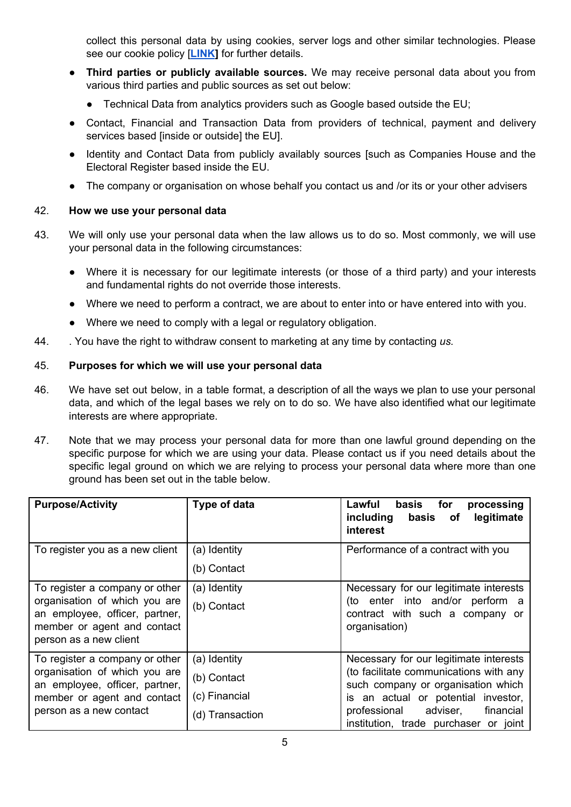collect this personal data by using cookies, server logs and other similar technologies. Please see our cookie policy [**[LINK](https://automattic.com/cookies/)]** for further details.

- **Third parties or publicly available sources.** We may receive personal data about you from various third parties and public sources as set out below:
	- Technical Data from analytics providers such as Google based outside the EU;
- Contact, Financial and Transaction Data from providers of technical, payment and delivery services based [inside or outside] the EU].
- Identity and Contact Data from publicly availably sources [such as Companies House and the Electoral Register based inside the EU.
- The company or organisation on whose behalf you contact us and /or its or your other advisers

## <span id="page-4-0"></span>42. **How we use your personal data**

- 43. We will only use your personal data when the law allows us to do so. Most commonly, we will use your personal data in the following circumstances:
	- Where it is necessary for our legitimate interests (or those of a third party) and your interests and fundamental rights do not override those interests.
	- Where we need to perform a contract, we are about to enter into or have entered into with you.
	- Where we need to comply with a legal or regulatory obligation.
- 44. . You have the right to withdraw consent to marketing at any time by [contacting](#page-2-1) *[us.](#page-2-1)*

## 45. **Purposes for which we will use your personal data**

- 46. We have set out below, in a table format, a description of all the ways we plan to use your personal data, and which of the legal bases we rely on to do so. We have also identified what our legitimate interests are where appropriate.
- 47. Note that we may process your personal data for more than one lawful ground depending on the specific purpose for which we are using your data. Please [contact](#page-2-1) us if you need details about the specific legal ground on which we are relying to process your personal data where more than one ground has been set out in the table below.

| <b>Purpose/Activity</b>                                                                                                                                     | Type of data                                                    | Lawful basis for<br>processing<br>legitimate<br>including<br>basis<br>of<br>interest                                                                                                                                                         |
|-------------------------------------------------------------------------------------------------------------------------------------------------------------|-----------------------------------------------------------------|----------------------------------------------------------------------------------------------------------------------------------------------------------------------------------------------------------------------------------------------|
| To register you as a new client                                                                                                                             | (a) Identity<br>(b) Contact                                     | Performance of a contract with you                                                                                                                                                                                                           |
| To register a company or other<br>organisation of which you are<br>an employee, officer, partner,<br>member or agent and contact<br>person as a new client  | (a) Identity<br>(b) Contact                                     | Necessary for our legitimate interests<br>(to enter into and/or perform a<br>contract with such a company or<br>organisation)                                                                                                                |
| To register a company or other<br>organisation of which you are<br>an employee, officer, partner,<br>member or agent and contact<br>person as a new contact | (a) Identity<br>(b) Contact<br>(c) Financial<br>(d) Transaction | Necessary for our legitimate interests<br>(to facilitate communications with any<br>such company or organisation which<br>is an actual or potential investor,<br>professional adviser,<br>financial<br>institution, trade purchaser or joint |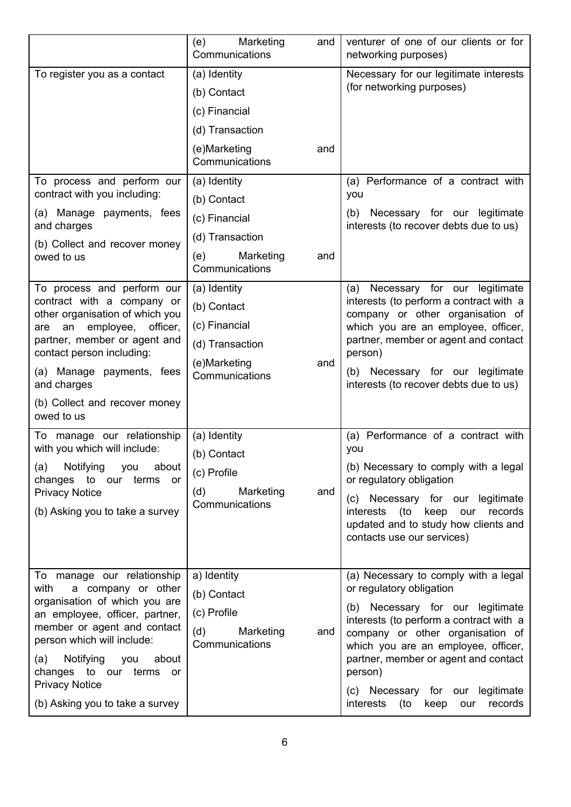|                                                                                                                                                                                                                                                                                                                        | Marketing<br>(e)<br>Communications                                                                                                                                   | and | venturer of one of our clients or for<br>networking purposes)                                                                                                                                                                                                                                                                                                |
|------------------------------------------------------------------------------------------------------------------------------------------------------------------------------------------------------------------------------------------------------------------------------------------------------------------------|----------------------------------------------------------------------------------------------------------------------------------------------------------------------|-----|--------------------------------------------------------------------------------------------------------------------------------------------------------------------------------------------------------------------------------------------------------------------------------------------------------------------------------------------------------------|
| To register you as a contact<br>To process and perform our<br>contract with you including:<br>(a) Manage payments, fees<br>and charges                                                                                                                                                                                 | (a) Identity<br>(b) Contact<br>(c) Financial<br>(d) Transaction<br>(e)Marketing<br>Communications<br>(a) Identity<br>(b) Contact<br>(c) Financial<br>(d) Transaction | and | Necessary for our legitimate interests<br>(for networking purposes)<br>(a) Performance of a contract with<br>you<br>Necessary for our legitimate<br>(b)<br>interests (to recover debts due to us)                                                                                                                                                            |
| (b) Collect and recover money<br>owed to us                                                                                                                                                                                                                                                                            | Marketing<br>(e)<br>Communications                                                                                                                                   | and |                                                                                                                                                                                                                                                                                                                                                              |
| To process and perform our<br>contract with a company or<br>other organisation of which you<br>employee,<br>officer,<br>an<br>are<br>partner, member or agent and<br>contact person including:<br>(a) Manage payments, fees<br>and charges<br>(b) Collect and recover money<br>owed to us                              | (a) Identity<br>(b) Contact<br>(c) Financial<br>(d) Transaction<br>(e)Marketing<br>Communications                                                                    | and | Necessary for our legitimate<br>(a)<br>interests (to perform a contract with a<br>company or other organisation of<br>which you are an employee, officer,<br>partner, member or agent and contact<br>person)<br>(b) Necessary for our legitimate<br>interests (to recover debts due to us)                                                                   |
| To manage our relationship<br>with you which will include:<br>Notifying<br>you<br>about<br>(a)<br>changes to our terms<br><b>or</b><br><b>Privacy Notice</b><br>(b) Asking you to take a survey                                                                                                                        | (a) Identity<br>(b) Contact<br>(c) Profile<br>(d)<br>Marketing<br>Communications                                                                                     | and | (a) Performance of a contract with<br>you<br>(b) Necessary to comply with a legal<br>or regulatory obligation<br>(c) Necessary for our legitimate<br>interests<br>(to keep<br>records<br>our<br>updated and to study how clients and<br>contacts use our services)                                                                                           |
| To manage our relationship<br>with<br>a company or other<br>organisation of which you are<br>an employee, officer, partner,<br>member or agent and contact<br>person which will include:<br>Notifying<br>about<br>(a)<br>you<br>changes to our terms<br>or<br><b>Privacy Notice</b><br>(b) Asking you to take a survey | a) Identity<br>(b) Contact<br>(c) Profile<br>(d)<br>Marketing<br>Communications                                                                                      | and | (a) Necessary to comply with a legal<br>or regulatory obligation<br>(b) Necessary for our legitimate<br>interests (to perform a contract with a<br>company or other organisation of<br>which you are an employee, officer,<br>partner, member or agent and contact<br>person)<br>(c) Necessary for our legitimate<br>interests (to<br>keep<br>records<br>our |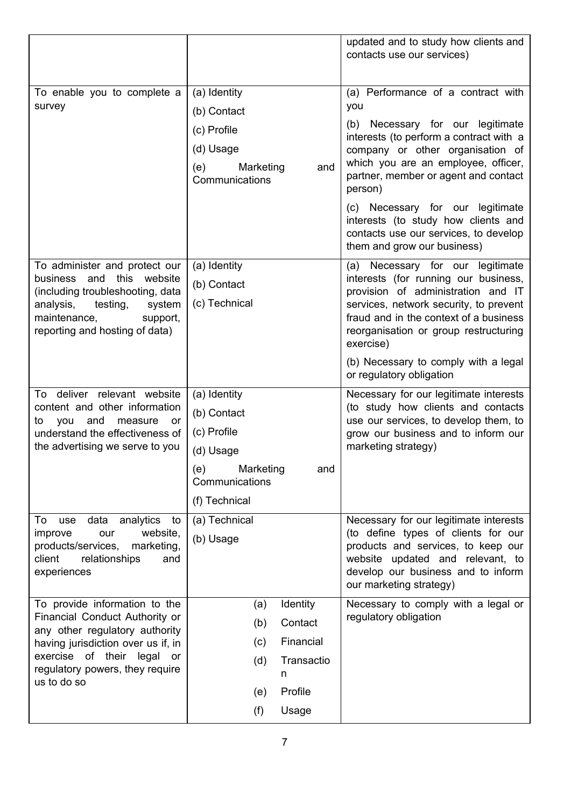|                                                                                                                                                                                                                         |                                                                                                                   | updated and to study how clients and<br>contacts use our services)                                                                                                                                                                                                                                                                                                                                        |
|-------------------------------------------------------------------------------------------------------------------------------------------------------------------------------------------------------------------------|-------------------------------------------------------------------------------------------------------------------|-----------------------------------------------------------------------------------------------------------------------------------------------------------------------------------------------------------------------------------------------------------------------------------------------------------------------------------------------------------------------------------------------------------|
|                                                                                                                                                                                                                         |                                                                                                                   |                                                                                                                                                                                                                                                                                                                                                                                                           |
| To enable you to complete a<br>survey                                                                                                                                                                                   | (a) Identity<br>(b) Contact<br>(c) Profile<br>(d) Usage<br>Marketing<br>and<br>(e)<br>Communications              | (a) Performance of a contract with<br>you<br>(b) Necessary for our legitimate<br>interests (to perform a contract with a<br>company or other organisation of<br>which you are an employee, officer,<br>partner, member or agent and contact<br>person)<br>(c) Necessary for our legitimate<br>interests (to study how clients and<br>contacts use our services, to develop<br>them and grow our business) |
| To administer and protect our<br>this<br>business<br>and<br>website<br>(including troubleshooting, data<br>analysis,<br>testing,<br>system<br>maintenance,<br>support,<br>reporting and hosting of data)                | (a) Identity<br>(b) Contact<br>(c) Technical                                                                      | Necessary for our legitimate<br>(a)<br>interests (for running our business,<br>provision of administration and IT<br>services, network security, to prevent<br>fraud and in the context of a business<br>reorganisation or group restructuring<br>exercise)<br>(b) Necessary to comply with a legal                                                                                                       |
|                                                                                                                                                                                                                         |                                                                                                                   | or regulatory obligation                                                                                                                                                                                                                                                                                                                                                                                  |
| To deliver relevant website<br>content and other information<br>and<br>measure<br>you<br>to<br>or<br>understand the effectiveness of<br>the advertising we serve to you                                                 | (a) Identity<br>(b) Contact<br>(c) Profile<br>(d) Usage<br>Marketing<br>(e)<br>and<br>Communications              | Necessary for our legitimate interests<br>(to study how clients and contacts<br>use our services, to develop them, to<br>grow our business and to inform our<br>marketing strategy)                                                                                                                                                                                                                       |
|                                                                                                                                                                                                                         | (f) Technical                                                                                                     |                                                                                                                                                                                                                                                                                                                                                                                                           |
| data<br>analytics to<br>To<br>use<br>website,<br>improve<br>our<br>marketing,<br>products/services,<br>client<br>relationships<br>and<br>experiences                                                                    | (a) Technical<br>(b) Usage                                                                                        | Necessary for our legitimate interests<br>(to define types of clients for our<br>products and services, to keep our<br>website updated and relevant, to<br>develop our business and to inform<br>our marketing strategy)                                                                                                                                                                                  |
| To provide information to the<br>Financial Conduct Authority or<br>any other regulatory authority<br>having jurisdiction over us if, in<br>exercise of their legal or<br>regulatory powers, they require<br>us to do so | Identity<br>(a)<br>Contact<br>(b)<br>Financial<br>(c)<br>Transactio<br>(d)<br>n<br>Profile<br>(e)<br>(f)<br>Usage | Necessary to comply with a legal or<br>regulatory obligation                                                                                                                                                                                                                                                                                                                                              |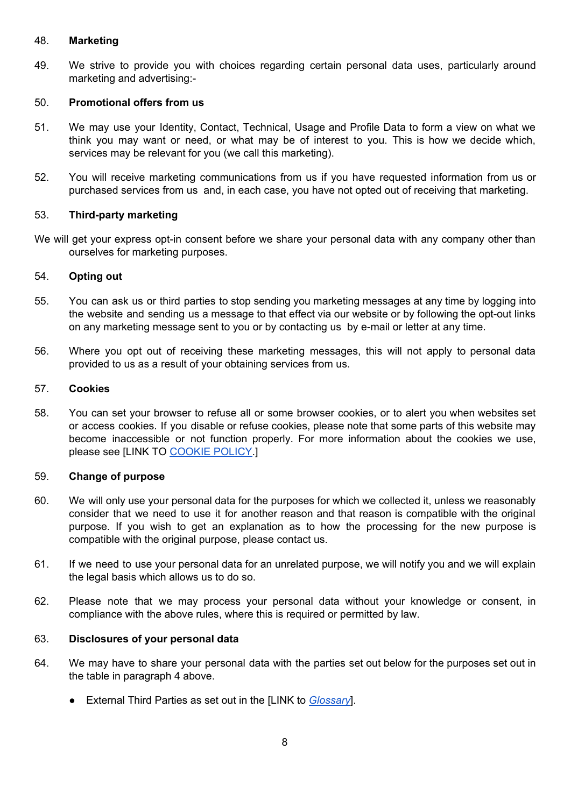### 48. **Marketing**

49. We strive to provide you with choices regarding certain personal data uses, particularly around marketing and advertising:-

#### 50. **Promotional offers from us**

- 51. We may use your Identity, Contact, Technical, Usage and Profile Data to form a view on what we think you may want or need, or what may be of interest to you. This is how we decide which, services may be relevant for you (we call this marketing).
- 52. You will receive marketing communications from us if you have requested information from us or purchased services from us and, in each case, you have not opted out of receiving that marketing.

#### 53. **Third-party marketing**

We will get your express opt-in consent before we share your personal data with any company other than ourselves for marketing purposes.

#### 54. **Opting out**

- 55. You can ask us or third parties to stop sending you marketing messages at any time by logging into the website and sending us a message to that effect via our website or by following the opt-out links on any marketing message sent to you or by [contacting](#page-2-1) us by e-mail or letter at any time.
- 56. Where you opt out of receiving these marketing messages, this will not apply to personal data provided to us as a result of your obtaining services from us.

#### 57. **Cookies**

58. You can set your browser to refuse all or some browser cookies, or to alert you when websites set or access cookies. If you disable or refuse cookies, please note that some parts of this website may become inaccessible or not function properly. For more information about the cookies we use, please see [LINK TO [COOKIE](https://automattic.com/cookies/) POLICY.]

#### 59. **Change of purpose**

- 60. We will only use your personal data for the purposes for which we collected it, unless we reasonably consider that we need to use it for another reason and that reason is compatible with the original purpose. If you wish to get an explanation as to how the processing for the new purpose is compatible with the original purpose, please [contact](#page-2-1) us.
- 61. If we need to use your personal data for an unrelated purpose, we will notify you and we will explain the legal basis which allows us to do so.
- 62. Please note that we may process your personal data without your knowledge or consent, in compliance with the above rules, where this is required or permitted by law.

#### <span id="page-7-0"></span>63. **Disclosures of your personal data**

- 64. We may have to share your personal data with the parties set out below for the purposes set out in the table in paragraph 4 above.
	- External Third Parties as set out in the [LINK to *[Glossary](#page-1-1)*].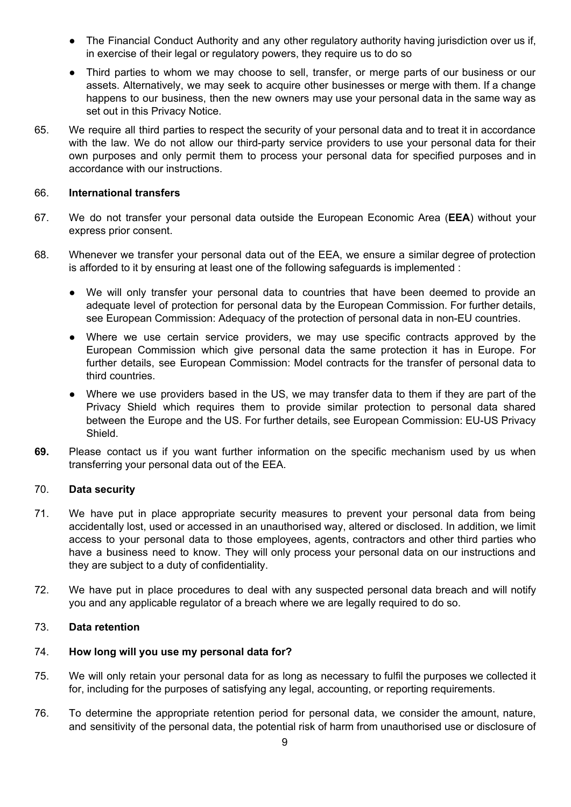- The Financial Conduct Authority and any other regulatory authority having jurisdiction over us if, in exercise of their legal or regulatory powers, they require us to do so
- Third parties to whom we may choose to sell, transfer, or merge parts of our business or our assets. Alternatively, we may seek to acquire other businesses or merge with them. If a change happens to our business, then the new owners may use your personal data in the same way as set out in this Privacy Notice.
- 65. We require all third parties to respect the security of your personal data and to treat it in accordance with the law. We do not allow our third-party service providers to use your personal data for their own purposes and only permit them to process your personal data for specified purposes and in accordance with our instructions.

### <span id="page-8-0"></span>66. **International transfers**

- 67. We do not transfer your personal data outside the European Economic Area (**EEA**) without your express prior consent.
- 68. Whenever we transfer your personal data out of the EEA, we ensure a similar degree of protection is afforded to it by ensuring at least one of the following safeguards is implemented :
	- We will only transfer your personal data to countries that have been deemed to provide an adequate level of protection for personal data by the European Commission. For further details, see European Commission: Adequacy of the protection of personal data in non-EU countries.
	- Where we use certain service providers, we may use specific contracts approved by the European Commission which give personal data the same protection it has in Europe. For further details, see European Commission: Model contracts for the transfer of personal data to third countries.
	- Where we use providers based in the US, we may transfer data to them if they are part of the Privacy Shield which requires them to provide similar protection to personal data shared between the Europe and the US. For further details, see European Commission: EU-US Privacy Shield.
- **69.** Please [contact](#page-2-1) us if you want further information on the specific mechanism used by us when transferring your personal data out of the EEA.

## <span id="page-8-1"></span>70. **Data security**

- 71. We have put in place appropriate security measures to prevent your personal data from being accidentally lost, used or accessed in an unauthorised way, altered or disclosed. In addition, we limit access to your personal data to those employees, agents, contractors and other third parties who have a business need to know. They will only process your personal data on our instructions and they are subject to a duty of confidentiality.
- 72. We have put in place procedures to deal with any suspected personal data breach and will notify you and any applicable regulator of a breach where we are legally required to do so.

## <span id="page-8-2"></span>73. **Data retention**

## 74. **How long will you use my personal data for?**

- 75. We will only retain your personal data for as long as necessary to fulfil the purposes we collected it for, including for the purposes of satisfying any legal, accounting, or reporting requirements.
- 76. To determine the appropriate retention period for personal data, we consider the amount, nature, and sensitivity of the personal data, the potential risk of harm from unauthorised use or disclosure of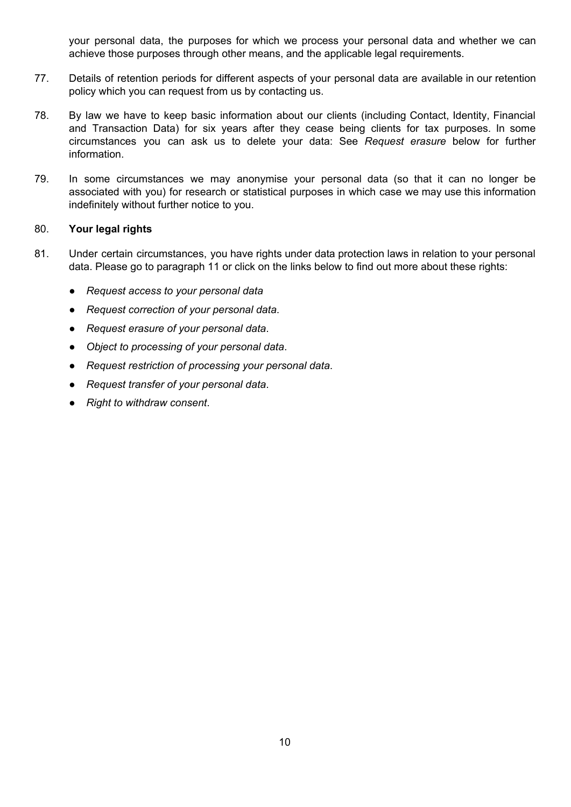your personal data, the purposes for which we process your personal data and whether we can achieve those purposes through other means, and the applicable legal requirements.

- 77. Details of retention periods for different aspects of your personal data are available in our retention policy which you can request from us by [contacting](#page-2-1) us.
- 78. By law we have to keep basic information about our clients (including Contact, Identity, Financial and Transaction Data) for six years after they cease being clients for tax purposes. In some circumstances you can ask us to delete your data: See *Request erasure* below for further information.
- 79. In some circumstances we may anonymise your personal data (so that it can no longer be associated with you) for research or statistical purposes in which case we may use this information indefinitely without further notice to you.

## <span id="page-9-0"></span>80. **Your legal rights**

- 81. Under certain circumstances, you have rights under data protection laws in relation to your personal data. Please go to paragraph 11 or click on the links below to find out more about these rights:
	- *Request access to your personal data*
	- *Request correction of your personal data*.
	- *Request erasure of your personal data*.
	- *Object to processing of your personal data*.
	- *Request restriction of processing your personal data*.
	- *Request transfer of your personal data*.
	- *Right to withdraw consent*.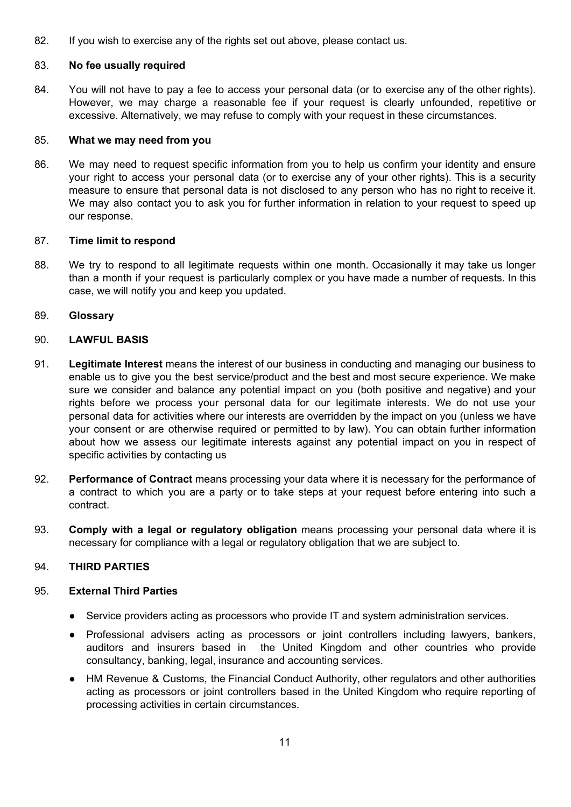82. If you wish to exercise any of the rights set out above, please [contact](#page-2-1) us.

## 83. **No fee usually required**

84. You will not have to pay a fee to access your personal data (or to exercise any of the other rights). However, we may charge a reasonable fee if your request is clearly unfounded, repetitive or excessive. Alternatively, we may refuse to comply with your request in these circumstances.

## 85. **What we may need from you**

86. We may need to request specific information from you to help us confirm your identity and ensure your right to access your personal data (or to exercise any of your other rights). This is a security measure to ensure that personal data is not disclosed to any person who has no right to receive it. We may also contact you to ask you for further information in relation to your request to speed up our response.

## 87. **Time limit to respond**

88. We try to respond to all legitimate requests within one month. Occasionally it may take us longer than a month if your request is particularly complex or you have made a number of requests. In this case, we will notify you and keep you updated.

## <span id="page-10-0"></span>89. **Glossary**

## 90. **LAWFUL BASIS**

- 91. **Legitimate Interest** means the interest of our business in conducting and managing our business to enable us to give you the best service/product and the best and most secure experience. We make sure we consider and balance any potential impact on you (both positive and negative) and your rights before we process your personal data for our legitimate interests. We do not use your personal data for activities where our interests are overridden by the impact on you (unless we have your consent or are otherwise required or permitted to by law). You can obtain further information about how we assess our legitimate interests against any potential impact on you in respect of specific activities by [contacting](#page-2-1) us
- 92. **Performance of Contract** means processing your data where it is necessary for the performance of a contract to which you are a party or to take steps at your request before entering into such a contract.
- 93. **Comply with a legal or regulatory obligation** means processing your personal data where it is necessary for compliance with a legal or regulatory obligation that we are subject to.

## 94. **THIRD PARTIES**

## 95. **External Third Parties**

- Service providers acting as processors who provide IT and system administration services.
- Professional advisers acting as processors or joint controllers including lawyers, bankers, auditors and insurers based in the United Kingdom and other countries who provide consultancy, banking, legal, insurance and accounting services.
- HM Revenue & Customs, the Financial Conduct Authority, other regulators and other authorities acting as processors or joint controllers based in the United Kingdom who require reporting of processing activities in certain circumstances.